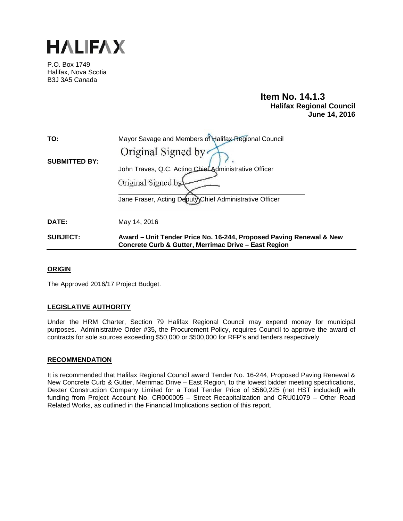

P.O. Box 1749 Halifax, Nova Scotia B3J 3A5 Canada

# **Item No. 14.1.3 Halifax Regional Council June 14, 2016**

| <b>SUBJECT:</b>      | Award - Unit Tender Price No. 16-244, Proposed Paving Renewal & New |
|----------------------|---------------------------------------------------------------------|
| DATE:                | May 14, 2016                                                        |
|                      | Jane Fraser, Acting Deputy)Chief Administrative Officer             |
|                      | Original Signed by                                                  |
|                      | John Traves, Q.C. Acting Chief Administrative Officer               |
| <b>SUBMITTED BY:</b> | Original Signed by                                                  |
| TO:                  | Mayor Savage and Members of Halifax Regional Council                |

## **ORIGIN**

The Approved 2016/17 Project Budget.

## **LEGISLATIVE AUTHORITY**

Under the HRM Charter, Section 79 Halifax Regional Council may expend money for municipal purposes. Administrative Order #35, the Procurement Policy, requires Council to approve the award of contracts for sole sources exceeding \$50,000 or \$500,000 for RFP's and tenders respectively.

 **Concrete Curb & Gutter, Merrimac Drive – East Region** 

## **RECOMMENDATION**

It is recommended that Halifax Regional Council award Tender No. 16-244, Proposed Paving Renewal & New Concrete Curb & Gutter, Merrimac Drive – East Region, to the lowest bidder meeting specifications, Dexter Construction Company Limited for a Total Tender Price of \$560,225 (net HST included) with funding from Project Account No. CR000005 – Street Recapitalization and CRU01079 – Other Road Related Works, as outlined in the Financial Implications section of this report.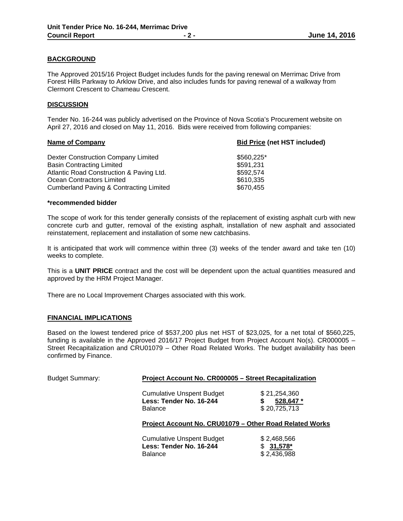## **BACKGROUND**

The Approved 2015/16 Project Budget includes funds for the paving renewal on Merrimac Drive from Forest Hills Parkway to Arklow Drive, and also includes funds for paving renewal of a walkway from Clermont Crescent to Chameau Crescent.

## **DISCUSSION**

Tender No. 16-244 was publicly advertised on the Province of Nova Scotia's Procurement website on April 27, 2016 and closed on May 11, 2016. Bids were received from following companies:

| <b>Name of Company</b>                   | <b>Bid Price (net HST included)</b> |  |
|------------------------------------------|-------------------------------------|--|
| Dexter Construction Company Limited      | \$560,225*                          |  |
| <b>Basin Contracting Limited</b>         | \$591,231                           |  |
| Atlantic Road Construction & Paving Ltd. | \$592,574                           |  |
| Ocean Contractors Limited                | \$610,335                           |  |
| Cumberland Paving & Contracting Limited  | \$670,455                           |  |

#### **\*recommended bidder**

The scope of work for this tender generally consists of the replacement of existing asphalt curb with new concrete curb and gutter, removal of the existing asphalt, installation of new asphalt and associated reinstatement, replacement and installation of some new catchbasins.

It is anticipated that work will commence within three (3) weeks of the tender award and take ten (10) weeks to complete.

This is a **UNIT PRICE** contract and the cost will be dependent upon the actual quantities measured and approved by the HRM Project Manager.

There are no Local Improvement Charges associated with this work.

## **FINANCIAL IMPLICATIONS**

Based on the lowest tendered price of \$537,200 plus net HST of \$23,025, for a net total of \$560,225, funding is available in the Approved 2016/17 Project Budget from Project Account No(s). CR000005 – Street Recapitalization and CRU01079 – Other Road Related Works. The budget availability has been confirmed by Finance.

| <b>Budget Summary:</b> | Project Account No. CR000005 - Street Recapitalization                        |                                                 |  |  |
|------------------------|-------------------------------------------------------------------------------|-------------------------------------------------|--|--|
|                        | <b>Cumulative Unspent Budget</b><br>Less: Tender No. 16-244<br><b>Balance</b> | \$21,254,360<br>528,647 *<br>\$<br>\$20,725,713 |  |  |
|                        | Project Account No. CRU01079 – Other Road Related Works                       |                                                 |  |  |
|                        | <b>Cumulative Unspent Budget</b><br>Less: Tender No. 16-244<br><b>Balance</b> | \$2,468,566<br>$31,578*$<br>SS.<br>\$2,436,988  |  |  |